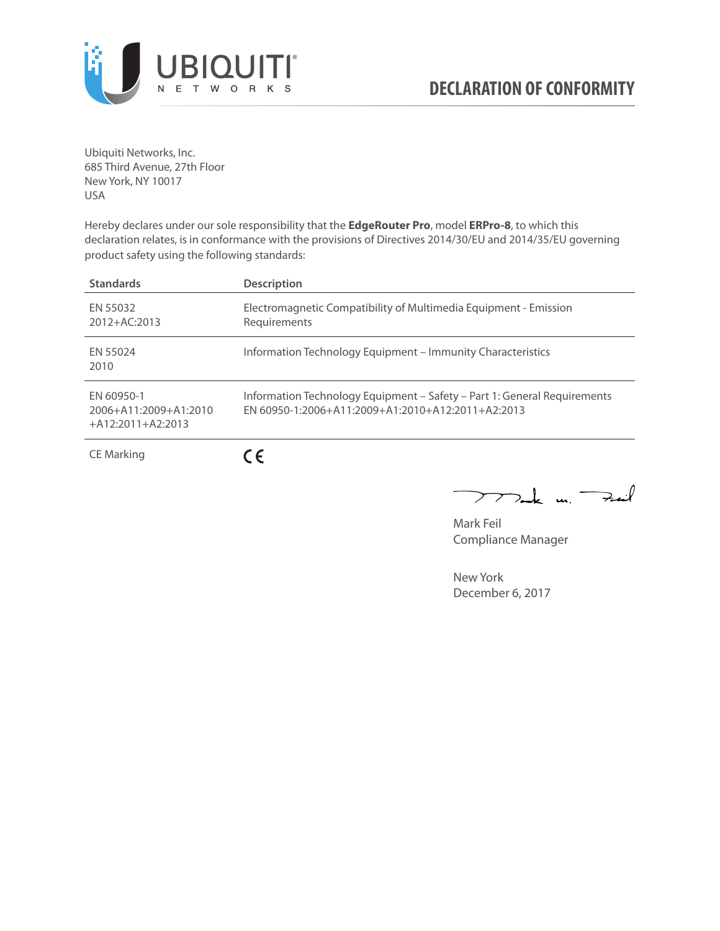

Ubiquiti Networks, Inc. 685 Third Avenue, 27th Floor New York, NY 10017 USA

Hereby declares under our sole responsibility that the **EdgeRouter Pro**, model **ERPro-8**, to which this declaration relates, is in conformance with the provisions of Directives 2014/30/EU and 2014/35/EU governing product safety using the following standards:

| <b>Standards</b>                                           | <b>Description</b>                                                                                                              |
|------------------------------------------------------------|---------------------------------------------------------------------------------------------------------------------------------|
| EN 55032<br>$2012 + AC:2013$                               | Electromagnetic Compatibility of Multimedia Equipment - Emission<br>Requirements                                                |
| FN 55024<br>2010                                           | Information Technology Equipment – Immunity Characteristics                                                                     |
| FN 60950-1<br>2006+A11:2009+A1:2010<br>$+A12:2011+A2:2013$ | Information Technology Equipment - Safety - Part 1: General Requirements<br>$FN$ 60950-1:2006+A11:2009+A1:2010+A12:2011+A2:2013 |
| <b>CE Marking</b>                                          |                                                                                                                                 |

Tak  $u_i \rightarrow u$  $\mathop{\sum\limits}$ 

Mark Feil Compliance Manager

New York December 6, 2017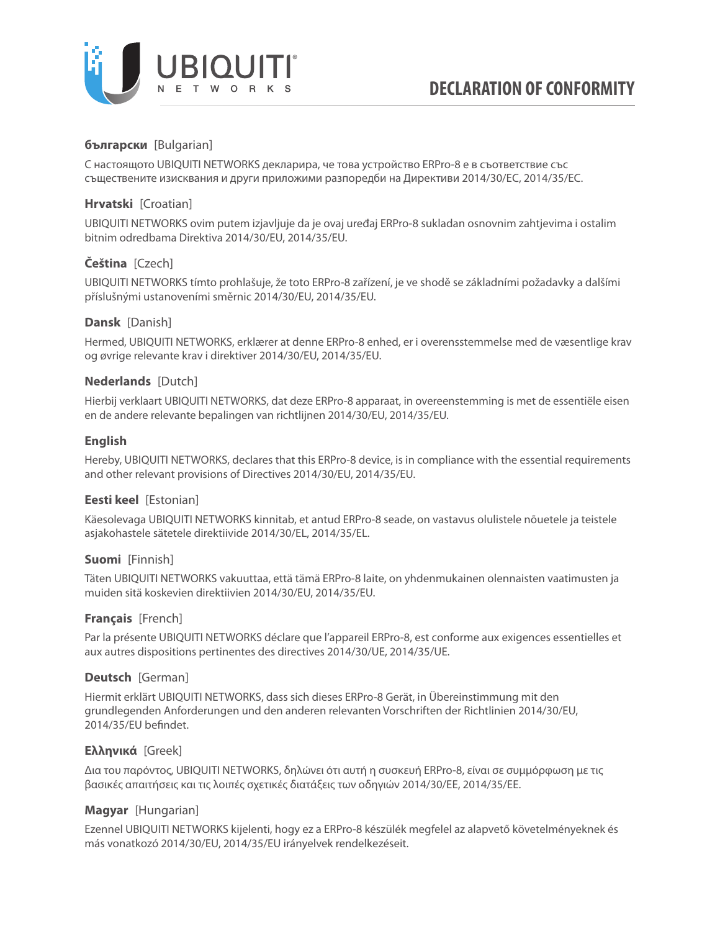

# **български** [Bulgarian]

С настоящото UBIQUITI NETWORKS декларира, че това устройство ERPro-8 е в съответствие със съществените изисквания и други приложими разпоредби на Директиви 2014/30/ЕС, 2014/35/ЕС.

# **Hrvatski** [Croatian]

UBIQUITI NETWORKS ovim putem izjavljuje da je ovaj uređaj ERPro-8 sukladan osnovnim zahtjevima i ostalim bitnim odredbama Direktiva 2014/30/EU, 2014/35/EU.

# **Čeština** [Czech]

UBIQUITI NETWORKS tímto prohlašuje, že toto ERPro-8 zařízení, je ve shodě se základními požadavky a dalšími příslušnými ustanoveními směrnic 2014/30/EU, 2014/35/EU.

### **Dansk** [Danish]

Hermed, UBIQUITI NETWORKS, erklærer at denne ERPro-8 enhed, er i overensstemmelse med de væsentlige krav og øvrige relevante krav i direktiver 2014/30/EU, 2014/35/EU.

### **Nederlands** [Dutch]

Hierbij verklaart UBIQUITI NETWORKS, dat deze ERPro-8 apparaat, in overeenstemming is met de essentiële eisen en de andere relevante bepalingen van richtlijnen 2014/30/EU, 2014/35/EU.

### **English**

Hereby, UBIQUITI NETWORKS, declares that this ERPro-8 device, is in compliance with the essential requirements and other relevant provisions of Directives 2014/30/EU, 2014/35/EU.

# **Eesti keel** [Estonian]

Käesolevaga UBIQUITI NETWORKS kinnitab, et antud ERPro-8 seade, on vastavus olulistele nõuetele ja teistele asjakohastele sätetele direktiivide 2014/30/EL, 2014/35/EL.

### **Suomi** [Finnish]

Täten UBIQUITI NETWORKS vakuuttaa, että tämä ERPro-8 laite, on yhdenmukainen olennaisten vaatimusten ja muiden sitä koskevien direktiivien 2014/30/EU, 2014/35/EU.

### **Français** [French]

Par la présente UBIQUITI NETWORKS déclare que l'appareil ERPro-8, est conforme aux exigences essentielles et aux autres dispositions pertinentes des directives 2014/30/UE, 2014/35/UE.

### **Deutsch** [German]

Hiermit erklärt UBIQUITI NETWORKS, dass sich dieses ERPro-8 Gerät, in Übereinstimmung mit den grundlegenden Anforderungen und den anderen relevanten Vorschriften der Richtlinien 2014/30/EU, 2014/35/EU befindet.

# **Ελληνικά** [Greek]

Δια του παρόντος, UBIQUITI NETWORKS, δηλώνει ότι αυτή η συσκευή ERPro-8, είναι σε συμμόρφωση με τις βασικές απαιτήσεις και τις λοιπές σχετικές διατάξεις των οδηγιών 2014/30/EE, 2014/35/EE.

# **Magyar** [Hungarian]

Ezennel UBIQUITI NETWORKS kijelenti, hogy ez a ERPro-8 készülék megfelel az alapvető követelményeknek és más vonatkozó 2014/30/EU, 2014/35/EU irányelvek rendelkezéseit.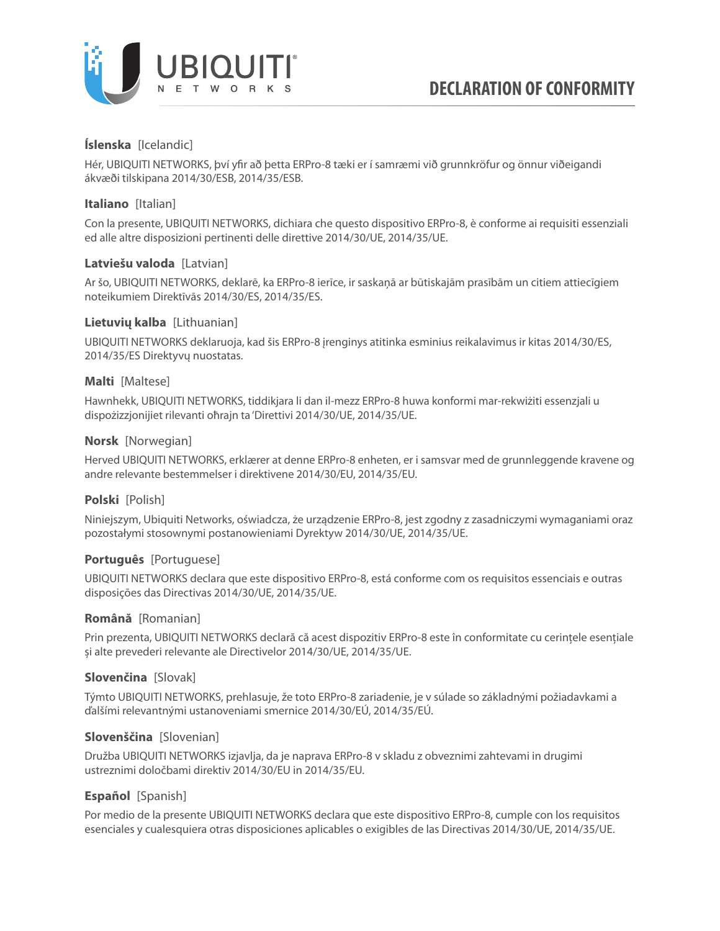

# **Íslenska** [Icelandic]

Hér, UBIQUITI NETWORKS, því yfir að þetta ERPro-8 tæki er í samræmi við grunnkröfur og önnur viðeigandi ákvæði tilskipana 2014/30/ESB, 2014/35/ESB.

# **Italiano** [Italian]

Con la presente, UBIQUITI NETWORKS, dichiara che questo dispositivo ERPro-8, è conforme ai requisiti essenziali ed alle altre disposizioni pertinenti delle direttive 2014/30/UE, 2014/35/UE.

# **Latviešu valoda** [Latvian]

Ar šo, UBIQUITI NETWORKS, deklarē, ka ERPro-8 ierīce, ir saskaņā ar būtiskajām prasībām un citiem attiecīgiem noteikumiem Direktīvās 2014/30/ES, 2014/35/ES.

### **Lietuvių kalba** [Lithuanian]

UBIQUITI NETWORKS deklaruoja, kad šis ERPro-8 įrenginys atitinka esminius reikalavimus ir kitas 2014/30/ES, 2014/35/ES Direktyvų nuostatas.

# **Malti** [Maltese]

Hawnhekk, UBIQUITI NETWORKS, tiddikjara li dan il-mezz ERPro-8 huwa konformi mar-rekwiżiti essenzjali u dispożizzjonijiet rilevanti oħrajn ta 'Direttivi 2014/30/UE, 2014/35/UE.

### **Norsk** [Norwegian]

Herved UBIQUITI NETWORKS, erklærer at denne ERPro-8 enheten, er i samsvar med de grunnleggende kravene og andre relevante bestemmelser i direktivene 2014/30/EU, 2014/35/EU.

# **Polski** [Polish]

Niniejszym, Ubiquiti Networks, oświadcza, że urządzenie ERPro-8, jest zgodny z zasadniczymi wymaganiami oraz pozostałymi stosownymi postanowieniami Dyrektyw 2014/30/UE, 2014/35/UE.

# **Português** [Portuguese]

UBIQUITI NETWORKS declara que este dispositivo ERPro-8, está conforme com os requisitos essenciais e outras disposições das Directivas 2014/30/UE, 2014/35/UE.

### **Română** [Romanian]

Prin prezenta, UBIQUITI NETWORKS declară că acest dispozitiv ERPro-8 este în conformitate cu cerințele esențiale și alte prevederi relevante ale Directivelor 2014/30/UE, 2014/35/UE.

### **Slovenčina** [Slovak]

Týmto UBIQUITI NETWORKS, prehlasuje, že toto ERPro-8 zariadenie, je v súlade so základnými požiadavkami a ďalšími relevantnými ustanoveniami smernice 2014/30/EÚ, 2014/35/EÚ.

### **Slovenščina** [Slovenian]

Družba UBIQUITI NETWORKS izjavlja, da je naprava ERPro-8 v skladu z obveznimi zahtevami in drugimi ustreznimi določbami direktiv 2014/30/EU in 2014/35/EU.

# **Español** [Spanish]

Por medio de la presente UBIQUITI NETWORKS declara que este dispositivo ERPro-8, cumple con los requisitos esenciales y cualesquiera otras disposiciones aplicables o exigibles de las Directivas 2014/30/UE, 2014/35/UE.